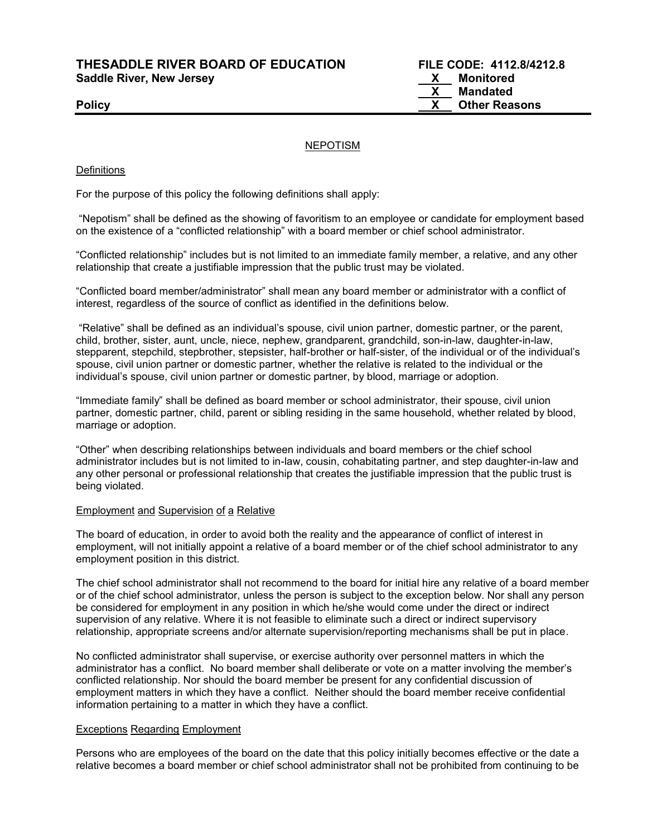**THESADDLE RIVER BOARD OF EDUCATION FILE CODE: 4112.8/4212.8**  Saddle River, New Jersey **X** Monitored

#### NEPOTISM

#### **Definitions**

For the purpose of this policy the following definitions shall apply:

"Nepotism" shall be defined as the showing of favoritism to an employee or candidate for employment based on the existence of a "conflicted relationship" with a board member or chief school administrator.

"Conflicted relationship" includes but is not limited to an immediate family member, a relative, and any other relationship that create a justifiable impression that the public trust may be violated.

"Conflicted board member/administrator" shall mean any board member or administrator with a conflict of interest, regardless of the source of conflict as identified in the definitions below.

"Relative" shall be defined as an individual's spouse, civil union partner, domestic partner, or the parent, child, brother, sister, aunt, uncle, niece, nephew, grandparent, grandchild, son-in-law, daughter-in-law, stepparent, stepchild, stepbrother, stepsister, half-brother or half-sister, of the individual or of the individual's spouse, civil union partner or domestic partner, whether the relative is related to the individual or the individual's spouse, civil union partner or domestic partner, by blood, marriage or adoption.

"Immediate family" shall be defined as board member or school administrator, their spouse, civil union partner, domestic partner, child, parent or sibling residing in the same household, whether related by blood, marriage or adoption.

"Other" when describing relationships between individuals and board members or the chief school administrator includes but is not limited to in-law, cousin, cohabitating partner, and step daughter-in-law and any other personal or professional relationship that creates the justifiable impression that the public trust is being violated.

#### Employment and Supervision of a Relative

The board of education, in order to avoid both the reality and the appearance of conflict of interest in employment, will not initially appoint a relative of a board member or of the chief school administrator to any employment position in this district.

The chief school administrator shall not recommend to the board for initial hire any relative of a board member or of the chief school administrator, unless the person is subject to the exception below. Nor shall any person be considered for employment in any position in which he/she would come under the direct or indirect supervision of any relative. Where it is not feasible to eliminate such a direct or indirect supervisory relationship, appropriate screens and/or alternate supervision/reporting mechanisms shall be put in place.

No conflicted administrator shall supervise, or exercise authority over personnel matters in which the administrator has a conflict. No board member shall deliberate or vote on a matter involving the member's conflicted relationship. Nor should the board member be present for any confidential discussion of employment matters in which they have a conflict. Neither should the board member receive confidential information pertaining to a matter in which they have a conflict.

#### Exceptions Regarding Employment

Persons who are employees of the board on the date that this policy initially becomes effective or the date a relative becomes a board member or chief school administrator shall not be prohibited from continuing to be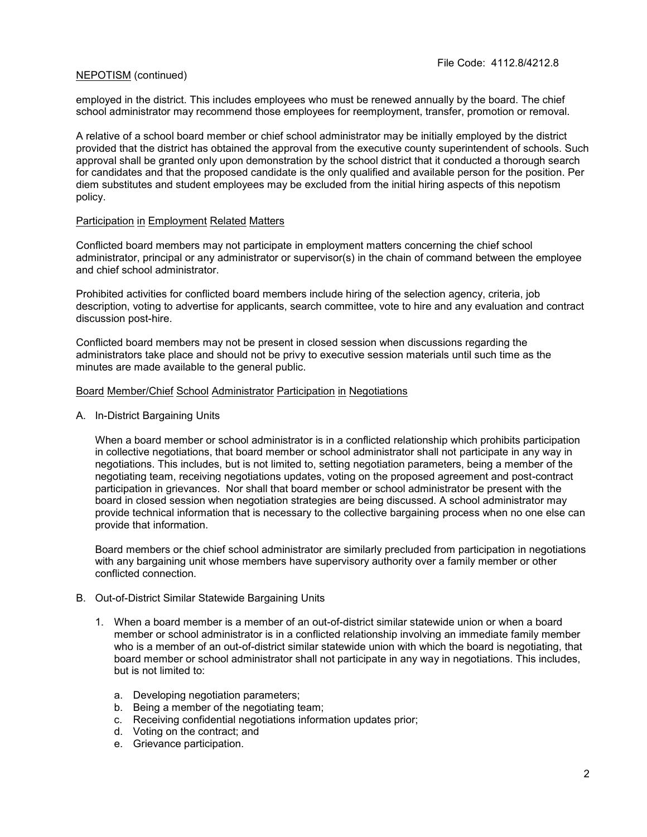### NEPOTISM (continued)

employed in the district. This includes employees who must be renewed annually by the board. The chief school administrator may recommend those employees for reemployment, transfer, promotion or removal.

A relative of a school board member or chief school administrator may be initially employed by the district provided that the district has obtained the approval from the executive county superintendent of schools. Such approval shall be granted only upon demonstration by the school district that it conducted a thorough search for candidates and that the proposed candidate is the only qualified and available person for the position. Per diem substitutes and student employees may be excluded from the initial hiring aspects of this nepotism policy.

#### Participation in Employment Related Matters

Conflicted board members may not participate in employment matters concerning the chief school administrator, principal or any administrator or supervisor(s) in the chain of command between the employee and chief school administrator.

Prohibited activities for conflicted board members include hiring of the selection agency, criteria, job description, voting to advertise for applicants, search committee, vote to hire and any evaluation and contract discussion post-hire.

Conflicted board members may not be present in closed session when discussions regarding the administrators take place and should not be privy to executive session materials until such time as the minutes are made available to the general public.

#### Board Member/Chief School Administrator Participation in Negotiations

A. In-District Bargaining Units

When a board member or school administrator is in a conflicted relationship which prohibits participation in collective negotiations, that board member or school administrator shall not participate in any way in negotiations. This includes, but is not limited to, setting negotiation parameters, being a member of the negotiating team, receiving negotiations updates, voting on the proposed agreement and post-contract participation in grievances. Nor shall that board member or school administrator be present with the board in closed session when negotiation strategies are being discussed. A school administrator may provide technical information that is necessary to the collective bargaining process when no one else can provide that information.

Board members or the chief school administrator are similarly precluded from participation in negotiations with any bargaining unit whose members have supervisory authority over a family member or other conflicted connection.

#### B. Out-of-District Similar Statewide Bargaining Units

- 1. When a board member is a member of an out-of-district similar statewide union or when a board member or school administrator is in a conflicted relationship involving an immediate family member who is a member of an out-of-district similar statewide union with which the board is negotiating, that board member or school administrator shall not participate in any way in negotiations. This includes, but is not limited to:
	- a. Developing negotiation parameters;
	- b. Being a member of the negotiating team;
	- c. Receiving confidential negotiations information updates prior;
	- d. Voting on the contract; and
	- e. Grievance participation.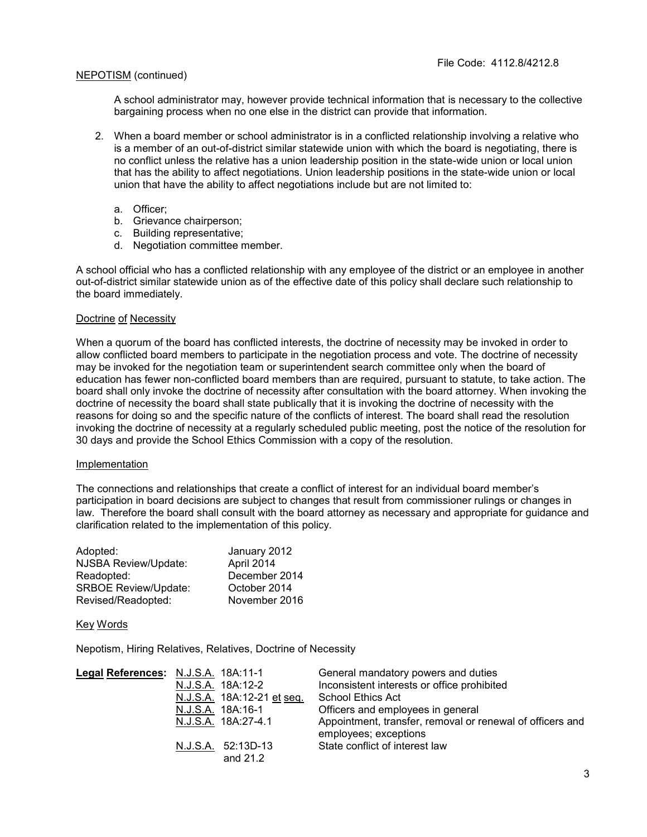### NEPOTISM (continued)

A school administrator may, however provide technical information that is necessary to the collective bargaining process when no one else in the district can provide that information.

- 2. When a board member or school administrator is in a conflicted relationship involving a relative who is a member of an out-of-district similar statewide union with which the board is negotiating, there is no conflict unless the relative has a union leadership position in the state-wide union or local union that has the ability to affect negotiations. Union leadership positions in the state-wide union or local union that have the ability to affect negotiations include but are not limited to:
	- a. Officer;
	- b. Grievance chairperson;
	- c. Building representative;
	- d. Negotiation committee member.

A school official who has a conflicted relationship with any employee of the district or an employee in another out-of-district similar statewide union as of the effective date of this policy shall declare such relationship to the board immediately.

#### Doctrine of Necessity

When a quorum of the board has conflicted interests, the doctrine of necessity may be invoked in order to allow conflicted board members to participate in the negotiation process and vote. The doctrine of necessity may be invoked for the negotiation team or superintendent search committee only when the board of education has fewer non-conflicted board members than are required, pursuant to statute, to take action. The board shall only invoke the doctrine of necessity after consultation with the board attorney. When invoking the doctrine of necessity the board shall state publically that it is invoking the doctrine of necessity with the reasons for doing so and the specific nature of the conflicts of interest. The board shall read the resolution invoking the doctrine of necessity at a regularly scheduled public meeting, post the notice of the resolution for 30 days and provide the School Ethics Commission with a copy of the resolution.

#### Implementation

The connections and relationships that create a conflict of interest for an individual board member's participation in board decisions are subject to changes that result from commissioner rulings or changes in law. Therefore the board shall consult with the board attorney as necessary and appropriate for guidance and clarification related to the implementation of this policy.

| Adopted:                    | January 2012  |
|-----------------------------|---------------|
| NJSBA Review/Update:        | April 2014    |
| Readopted:                  | December 2014 |
| <b>SRBOE Review/Update:</b> | October 2014  |
| Revised/Readopted:          | November 2016 |

#### Key Words

Nepotism, Hiring Relatives, Relatives, Doctrine of Necessity

| Legal References: N.J.S.A. 18A:11-1 |                            | General mandatory powers and duties                       |
|-------------------------------------|----------------------------|-----------------------------------------------------------|
|                                     | N.J.S.A. 18A:12-2          | Inconsistent interests or office prohibited               |
|                                     | N.J.S.A. 18A:12-21 et seq. | School Ethics Act                                         |
|                                     | N.J.S.A. 18A:16-1          | Officers and employees in general                         |
|                                     | N.J.S.A. 18A:27-4.1        | Appointment, transfer, removal or renewal of officers and |
|                                     |                            | employees; exceptions                                     |
|                                     | N.J.S.A. 52:13D-13         | State conflict of interest law                            |
|                                     | and 21.2                   |                                                           |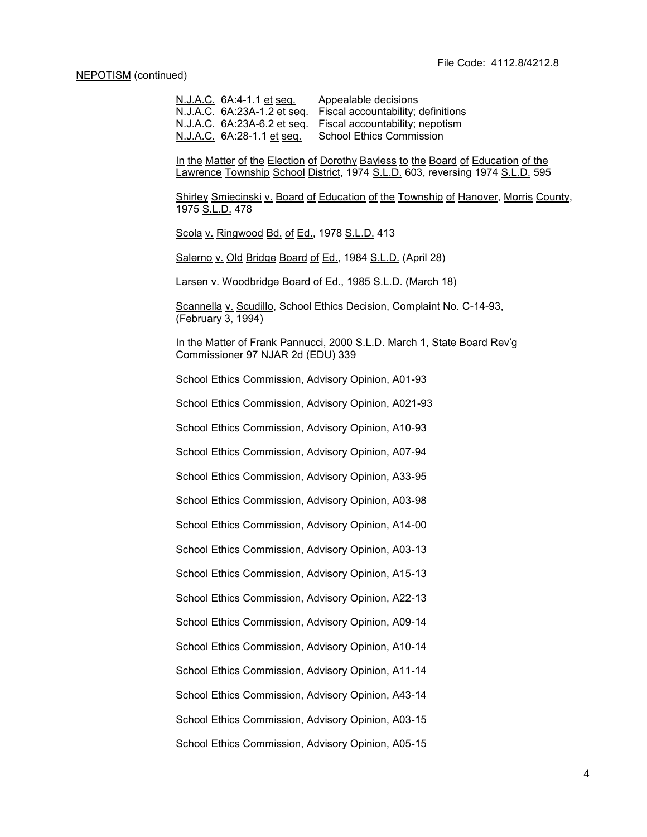N.J.A.C. 6A:4-1.1 et seq. Appealable decisions N.J.A.C. 6A:23A-1.2 et seq. Fiscal accountability; definitions N.J.A.C. 6A:23A-6.2 et seq. Fiscal accountability; nepotism N.J.A.C. 6A:28-1.1 et seq. School Ethics Commission

In the Matter of the Election of Dorothy Bayless to the Board of Education of the Lawrence Township School District, 1974 S.L.D. 603, reversing 1974 S.L.D. 595

Shirley Smiecinski v. Board of Education of the Township of Hanover, Morris County, 1975 S.L.D. 478

Scola v. Ringwood Bd. of Ed., 1978 S.L.D. 413

Salerno v. Old Bridge Board of Ed., 1984 S.L.D. (April 28)

Larsen v. Woodbridge Board of Ed., 1985 S.L.D. (March 18)

Scannella v. Scudillo, School Ethics Decision, Complaint No. C-14-93, (February 3, 1994)

In the Matter of Frank Pannucci, 2000 S.L.D. March 1, State Board Rev'g Commissioner 97 NJAR 2d (EDU) 339

School Ethics Commission, Advisory Opinion, A01-93

School Ethics Commission, Advisory Opinion, A021-93

School Ethics Commission, Advisory Opinion, A10-93

School Ethics Commission, Advisory Opinion, A07-94

School Ethics Commission, Advisory Opinion, A33-95

School Ethics Commission, Advisory Opinion, A03-98

School Ethics Commission, Advisory Opinion, A14-00

School Ethics Commission, Advisory Opinion, A03-13

School Ethics Commission, Advisory Opinion, A15-13

School Ethics Commission, Advisory Opinion, A22-13

School Ethics Commission, Advisory Opinion, A09-14

School Ethics Commission, Advisory Opinion, A10-14

School Ethics Commission, Advisory Opinion, A11-14

School Ethics Commission, Advisory Opinion, A43-14

School Ethics Commission, Advisory Opinion, A03-15

School Ethics Commission, Advisory Opinion, A05-15